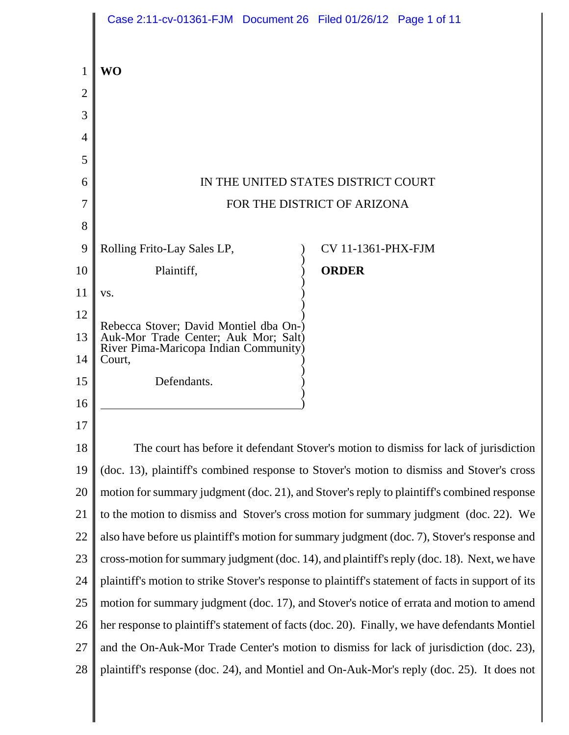|                | Case 2:11-cv-01361-FJM Document 26 Filed 01/26/12 Page 1 of 11                                     |                             |  |
|----------------|----------------------------------------------------------------------------------------------------|-----------------------------|--|
|                | <b>WO</b>                                                                                          |                             |  |
| $\overline{2}$ |                                                                                                    |                             |  |
| 3              |                                                                                                    |                             |  |
| 4              |                                                                                                    |                             |  |
| 5              |                                                                                                    |                             |  |
| 6              | IN THE UNITED STATES DISTRICT COURT                                                                |                             |  |
| 7              |                                                                                                    | FOR THE DISTRICT OF ARIZONA |  |
| 8              |                                                                                                    |                             |  |
| 9              | Rolling Frito-Lay Sales LP,                                                                        | <b>CV 11-1361-PHX-FJM</b>   |  |
| 10             | Plaintiff,                                                                                         | <b>ORDER</b>                |  |
| 11             | VS.                                                                                                |                             |  |
| 12             |                                                                                                    |                             |  |
| 13             | Rebecca Stover; David Montiel dba On-)<br>Auk-Mor Trade Center; Auk Mor; Salt)                     |                             |  |
| 14             | River Pima-Maricopa Indian Community)<br>Court,                                                    |                             |  |
| 15             | Defendants.                                                                                        |                             |  |
| 16             |                                                                                                    |                             |  |
| 17             |                                                                                                    |                             |  |
| 18             | The court has before it defendant Stover's motion to dismiss for lack of jurisdiction              |                             |  |
| 19             | (doc. 13), plaintiff's combined response to Stover's motion to dismiss and Stover's cross          |                             |  |
| 20             | motion for summary judgment (doc. 21), and Stover's reply to plaintiff's combined response         |                             |  |
| 21             | to the motion to dismiss and Stover's cross motion for summary judgment (doc. 22). We              |                             |  |
| 22             | also have before us plaintiff's motion for summary judgment (doc. 7), Stover's response and        |                             |  |
| 23             | cross-motion for summary judgment (doc. 14), and plaintiff's reply (doc. 18). Next, we have        |                             |  |
| 24             | plaintiff's motion to strike Stover's response to plaintiff's statement of facts in support of its |                             |  |
| 25             | motion for summary judgment (doc. 17), and Stover's notice of errata and motion to amend           |                             |  |
| 26             | her response to plaintiff's statement of facts (doc. 20). Finally, we have defendants Montiel      |                             |  |
| 27             | and the On-Auk-Mor Trade Center's motion to dismiss for lack of jurisdiction (doc. 23),            |                             |  |
| 28             | plaintiff's response (doc. 24), and Montiel and On-Auk-Mor's reply (doc. 25). It does not          |                             |  |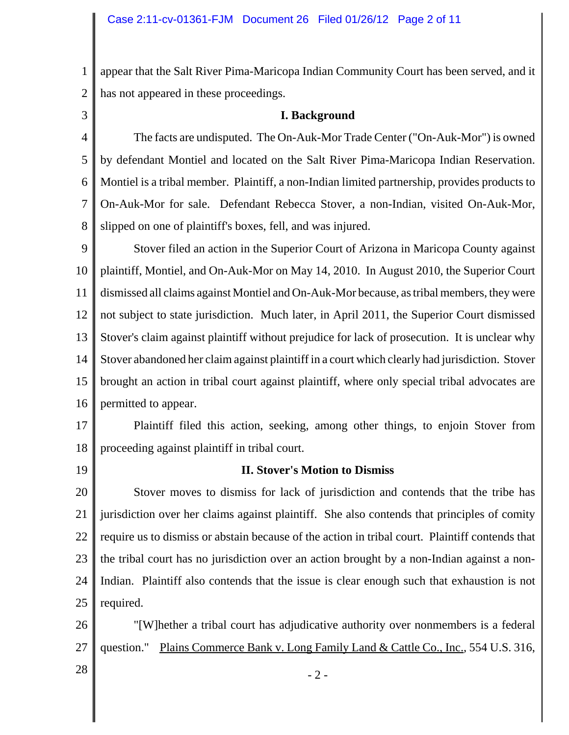1 2 appear that the Salt River Pima-Maricopa Indian Community Court has been served, and it has not appeared in these proceedings.

3

## **I. Background**

4 5 6 7 8 The facts are undisputed. The On-Auk-Mor Trade Center ("On-Auk-Mor") is owned by defendant Montiel and located on the Salt River Pima-Maricopa Indian Reservation. Montiel is a tribal member. Plaintiff, a non-Indian limited partnership, provides products to On-Auk-Mor for sale. Defendant Rebecca Stover, a non-Indian, visited On-Auk-Mor, slipped on one of plaintiff's boxes, fell, and was injured.

9 10 11 12 13 14 15 16 Stover filed an action in the Superior Court of Arizona in Maricopa County against plaintiff, Montiel, and On-Auk-Mor on May 14, 2010. In August 2010, the Superior Court dismissed all claims against Montiel and On-Auk-Mor because, as tribal members, they were not subject to state jurisdiction. Much later, in April 2011, the Superior Court dismissed Stover's claim against plaintiff without prejudice for lack of prosecution. It is unclear why Stover abandoned her claim against plaintiff in a court which clearly had jurisdiction. Stover brought an action in tribal court against plaintiff, where only special tribal advocates are permitted to appear.

17 18 Plaintiff filed this action, seeking, among other things, to enjoin Stover from proceeding against plaintiff in tribal court.

19

# **II. Stover's Motion to Dismiss**

20 21 22 23 24 25 Stover moves to dismiss for lack of jurisdiction and contends that the tribe has jurisdiction over her claims against plaintiff. She also contends that principles of comity require us to dismiss or abstain because of the action in tribal court. Plaintiff contends that the tribal court has no jurisdiction over an action brought by a non-Indian against a non-Indian. Plaintiff also contends that the issue is clear enough such that exhaustion is not required.

26 27 "[W]hether a tribal court has adjudicative authority over nonmembers is a federal question." Plains Commerce Bank v. Long Family Land & Cattle Co., Inc.*,* 554 U.S. 316,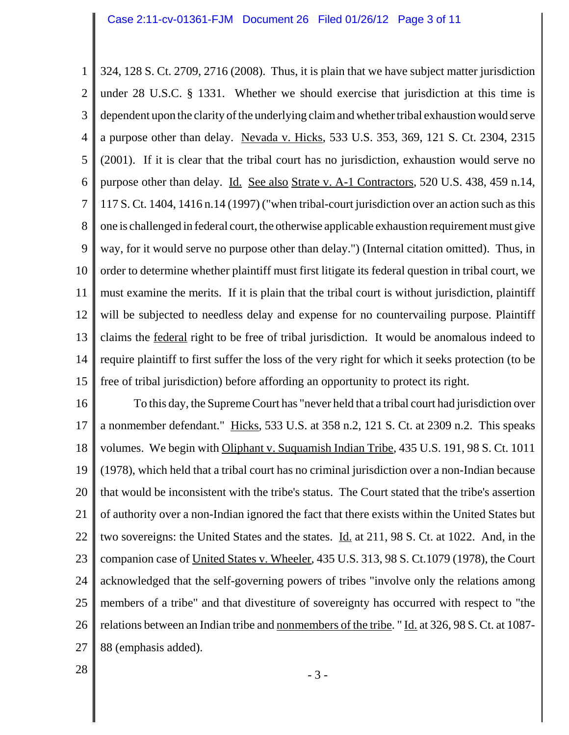1 2 3 4 5 6 7 8 9 10 11 12 13 14 15 324, 128 S. Ct. 2709, 2716 (2008). Thus, it is plain that we have subject matter jurisdiction under 28 U.S.C. § 1331. Whether we should exercise that jurisdiction at this time is dependent upon the clarity of the underlying claim and whether tribal exhaustion would serve a purpose other than delay. Nevada v. Hicks, 533 U.S. 353, 369, 121 S. Ct. 2304, 2315 (2001). If it is clear that the tribal court has no jurisdiction, exhaustion would serve no purpose other than delay. Id. See also Strate v. A-1 Contractors*,* 520 U.S. 438, 459 n.14, 117 S. Ct. 1404, 1416 n.14 (1997) ("when tribal-court jurisdiction over an action such as this one is challenged in federal court, the otherwise applicable exhaustion requirement must give way, for it would serve no purpose other than delay.") (Internal citation omitted). Thus, in order to determine whether plaintiff must first litigate its federal question in tribal court, we must examine the merits. If it is plain that the tribal court is without jurisdiction, plaintiff will be subjected to needless delay and expense for no countervailing purpose. Plaintiff claims the federal right to be free of tribal jurisdiction. It would be anomalous indeed to require plaintiff to first suffer the loss of the very right for which it seeks protection (to be free of tribal jurisdiction) before affording an opportunity to protect its right.

16 17 18 19 20 21 22 23 24 25 26 27 To this day, the Supreme Court has "never held that a tribal court had jurisdiction over a nonmember defendant." Hicks*,* 533 U.S. at 358 n.2, 121 S. Ct. at 2309 n.2. This speaks volumes. We begin with Oliphant v. Suquamish Indian Tribe*,* 435 U.S. 191, 98 S. Ct. 1011 (1978), which held that a tribal court has no criminal jurisdiction over a non-Indian because that would be inconsistent with the tribe's status. The Court stated that the tribe's assertion of authority over a non-Indian ignored the fact that there exists within the United States but two sovereigns: the United States and the states. Id. at 211, 98 S. Ct. at 1022. And, in the companion case of United States v. Wheeler*,* 435 U.S. 313, 98 S. Ct.1079 (1978), the Court acknowledged that the self-governing powers of tribes "involve only the relations among members of a tribe" and that divestiture of sovereignty has occurred with respect to "the relations between an Indian tribe and nonmembers of the tribe. " Id. at 326, 98 S. Ct. at 1087- 88 (emphasis added).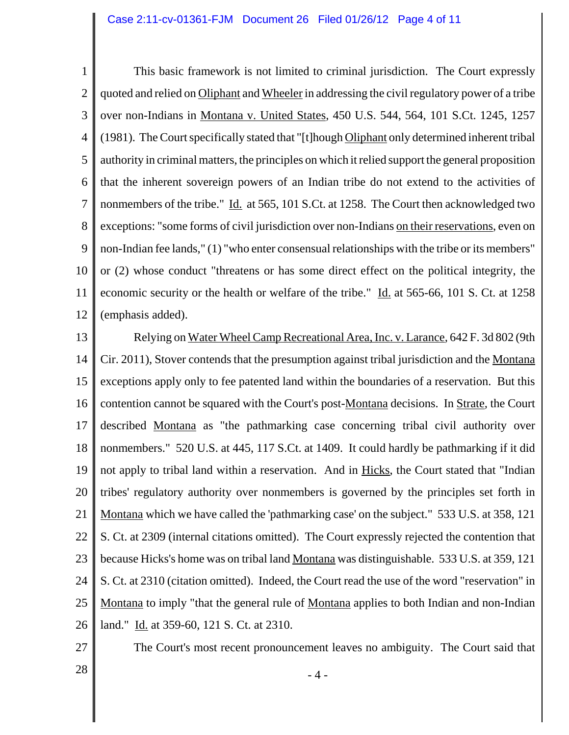1 2 3 4 5 6 7 8 9 10 11 12 This basic framework is not limited to criminal jurisdiction. The Court expressly quoted and relied on Oliphant and Wheeler in addressing the civil regulatory power of a tribe over non-Indians in Montana v. United States*,* 450 U.S. 544, 564, 101 S.Ct. 1245, 1257 (1981). The Court specifically stated that "[t]hough Oliphant only determined inherent tribal authority in criminal matters, the principles on which it relied support the general proposition that the inherent sovereign powers of an Indian tribe do not extend to the activities of nonmembers of the tribe." Id. at 565, 101 S.Ct. at 1258. The Court then acknowledged two exceptions: "some forms of civil jurisdiction over non-Indians on their reservations, even on non-Indian fee lands," (1) "who enter consensual relationships with the tribe or its members" or (2) whose conduct "threatens or has some direct effect on the political integrity, the economic security or the health or welfare of the tribe." Id. at 565-66, 101 S. Ct. at 1258 (emphasis added).

13 14 15 16 17 18 19 20 21 22 23 24 25 26 Relying on Water Wheel Camp Recreational Area, Inc. v. Larance*,* 642 F. 3d 802 (9th Cir. 2011), Stover contends that the presumption against tribal jurisdiction and the Montana exceptions apply only to fee patented land within the boundaries of a reservation. But this contention cannot be squared with the Court's post-Montana decisions. In Strate*,* the Court described Montana as "the pathmarking case concerning tribal civil authority over nonmembers." 520 U.S. at 445, 117 S.Ct. at 1409. It could hardly be pathmarking if it did not apply to tribal land within a reservation. And in Hicks, the Court stated that "Indian tribes' regulatory authority over nonmembers is governed by the principles set forth in Montana which we have called the 'pathmarking case' on the subject." 533 U.S. at 358, 121 S. Ct. at 2309 (internal citations omitted). The Court expressly rejected the contention that because Hicks's home was on tribal land Montana was distinguishable. 533 U.S. at 359, 121 S. Ct. at 2310 (citation omitted). Indeed, the Court read the use of the word "reservation" in Montana to imply "that the general rule of Montana applies to both Indian and non-Indian land." Id. at 359-60, 121 S. Ct. at 2310.

27

The Court's most recent pronouncement leaves no ambiguity. The Court said that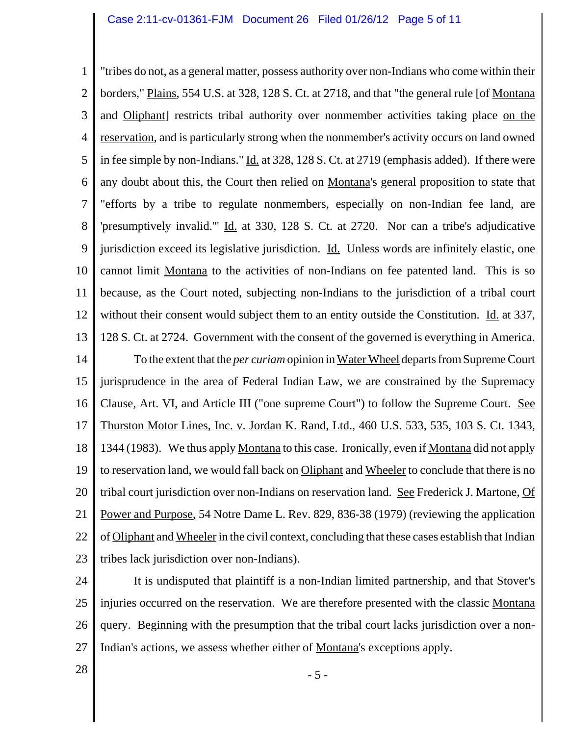1 2 3 4 5 6 7 8 9 10 11 12 13 14 15 16 17 18 19 20 21 22 23 "tribes do not, as a general matter, possess authority over non-Indians who come within their borders," Plains, 554 U.S. at 328, 128 S. Ct. at 2718, and that "the general rule [of Montana and Oliphant] restricts tribal authority over nonmember activities taking place on the reservation*,* and is particularly strong when the nonmember's activity occurs on land owned in fee simple by non-Indians." Id. at 328, 128 S. Ct. at 2719 (emphasis added). If there were any doubt about this, the Court then relied on Montana's general proposition to state that "efforts by a tribe to regulate nonmembers, especially on non-Indian fee land, are 'presumptively invalid.'" Id. at 330, 128 S. Ct. at 2720. Nor can a tribe's adjudicative jurisdiction exceed its legislative jurisdiction. Id. Unless words are infinitely elastic, one cannot limit Montana to the activities of non-Indians on fee patented land. This is so because, as the Court noted, subjecting non-Indians to the jurisdiction of a tribal court without their consent would subject them to an entity outside the Constitution. Id. at 337, 128 S. Ct. at 2724. Government with the consent of the governed is everything in America. To the extent that the *per curiam* opinion in Water Wheel departs from Supreme Court jurisprudence in the area of Federal Indian Law, we are constrained by the Supremacy Clause, Art. VI, and Article III ("one supreme Court") to follow the Supreme Court. See Thurston Motor Lines, Inc. v. Jordan K. Rand, Ltd., 460 U.S. 533, 535, 103 S. Ct. 1343, 1344 (1983). We thus apply Montana to this case. Ironically, even if Montana did not apply to reservation land, we would fall back on Oliphant and Wheeler to conclude that there is no tribal court jurisdiction over non-Indians on reservation land. See Frederick J. Martone, Of Power and Purpose, 54 Notre Dame L. Rev. 829, 836-38 (1979) (reviewing the application of Oliphant and Wheeler in the civil context, concluding that these cases establish that Indian tribes lack jurisdiction over non-Indians).

24 25 26 27 It is undisputed that plaintiff is a non-Indian limited partnership, and that Stover's injuries occurred on the reservation. We are therefore presented with the classic Montana query. Beginning with the presumption that the tribal court lacks jurisdiction over a non-Indian's actions, we assess whether either of Montana's exceptions apply.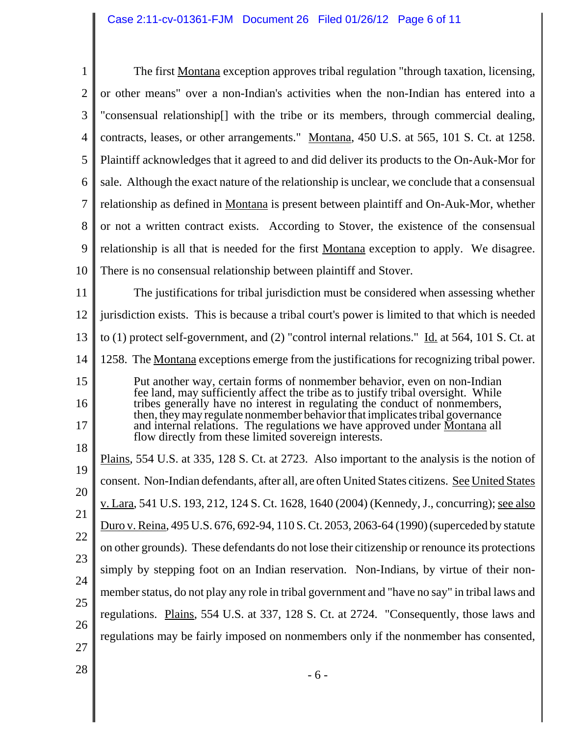| $\mathbf{1}$   | The first Montana exception approves tribal regulation "through taxation, licensing,                                                                                                                                                                                                                                          |  |  |  |
|----------------|-------------------------------------------------------------------------------------------------------------------------------------------------------------------------------------------------------------------------------------------------------------------------------------------------------------------------------|--|--|--|
| $\overline{2}$ | or other means" over a non-Indian's activities when the non-Indian has entered into a                                                                                                                                                                                                                                         |  |  |  |
| 3              | "consensual relationship[] with the tribe or its members, through commercial dealing,                                                                                                                                                                                                                                         |  |  |  |
| 4              | contracts, leases, or other arrangements." Montana, 450 U.S. at 565, 101 S. Ct. at 1258.                                                                                                                                                                                                                                      |  |  |  |
| 5              | Plaintiff acknowledges that it agreed to and did deliver its products to the On-Auk-Mor for                                                                                                                                                                                                                                   |  |  |  |
| 6              | sale. Although the exact nature of the relationship is unclear, we conclude that a consensual                                                                                                                                                                                                                                 |  |  |  |
| 7              | relationship as defined in Montana is present between plaintiff and On-Auk-Mor, whether                                                                                                                                                                                                                                       |  |  |  |
| 8              | or not a written contract exists. According to Stover, the existence of the consensual                                                                                                                                                                                                                                        |  |  |  |
| 9              | relationship is all that is needed for the first Montana exception to apply. We disagree.                                                                                                                                                                                                                                     |  |  |  |
| 10             | There is no consensual relationship between plaintiff and Stover.                                                                                                                                                                                                                                                             |  |  |  |
| 11             | The justifications for tribal jurisdiction must be considered when assessing whether                                                                                                                                                                                                                                          |  |  |  |
| 12             | jurisdiction exists. This is because a tribal court's power is limited to that which is needed                                                                                                                                                                                                                                |  |  |  |
| 13             | to (1) protect self-government, and (2) "control internal relations." Id. at 564, 101 S. Ct. at                                                                                                                                                                                                                               |  |  |  |
| 14             | 1258. The Montana exceptions emerge from the justifications for recognizing tribal power.                                                                                                                                                                                                                                     |  |  |  |
| 15             | Put another way, certain forms of nonmember behavior, even on non-Indian                                                                                                                                                                                                                                                      |  |  |  |
| 16<br>17       | fee land, may sufficiently affect the tribe as to justify tribal oversight. While<br>tribes generally have no interest in regulating the conduct of nonmembers,<br>then, they may regulate nonmember behavior that implicates tribal governance<br>and internal relations. The regulations we have approved under Montana all |  |  |  |
| 18             | flow directly from these limited sovereign interests.                                                                                                                                                                                                                                                                         |  |  |  |
| 19             | Plains, 554 U.S. at 335, 128 S. Ct. at 2723. Also important to the analysis is the notion of                                                                                                                                                                                                                                  |  |  |  |
| 20             | consent. Non-Indian defendants, after all, are often United States citizens. See United States                                                                                                                                                                                                                                |  |  |  |
| 21             | v. Lara, 541 U.S. 193, 212, 124 S. Ct. 1628, 1640 (2004) (Kennedy, J., concurring); see also                                                                                                                                                                                                                                  |  |  |  |
| 22             | Duro v. Reina, 495 U.S. 676, 692-94, 110 S. Ct. 2053, 2063-64 (1990) (superceded by statute                                                                                                                                                                                                                                   |  |  |  |
| 23             | on other grounds). These defendants do not lose their citizenship or renounce its protections                                                                                                                                                                                                                                 |  |  |  |
| 24             | simply by stepping foot on an Indian reservation. Non-Indians, by virtue of their non-                                                                                                                                                                                                                                        |  |  |  |
| 25             | member status, do not play any role in tribal government and "have no say" in tribal laws and                                                                                                                                                                                                                                 |  |  |  |
| 26             | regulations. Plains, 554 U.S. at 337, 128 S. Ct. at 2724. "Consequently, those laws and                                                                                                                                                                                                                                       |  |  |  |
| 27             | regulations may be fairly imposed on nonmembers only if the nonmember has consented,                                                                                                                                                                                                                                          |  |  |  |
| 28             |                                                                                                                                                                                                                                                                                                                               |  |  |  |
|                | $-6-$                                                                                                                                                                                                                                                                                                                         |  |  |  |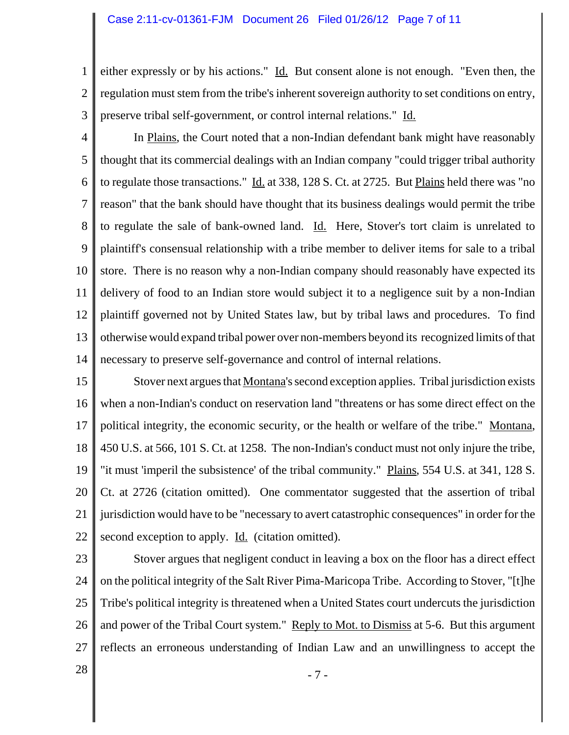#### Case 2:11-cv-01361-FJM Document 26 Filed 01/26/12 Page 7 of 11

1 2 3 either expressly or by his actions." Id. But consent alone is not enough. "Even then, the regulation must stem from the tribe's inherent sovereign authority to set conditions on entry, preserve tribal self-government, or control internal relations." Id.

4 5 6 7 8 9 10 11 12 13 14 In Plains, the Court noted that a non-Indian defendant bank might have reasonably thought that its commercial dealings with an Indian company "could trigger tribal authority to regulate those transactions."  $\underline{Id}$  at 338, 128 S. Ct. at 2725. But Plains held there was "no reason" that the bank should have thought that its business dealings would permit the tribe to regulate the sale of bank-owned land. Id. Here, Stover's tort claim is unrelated to plaintiff's consensual relationship with a tribe member to deliver items for sale to a tribal store. There is no reason why a non-Indian company should reasonably have expected its delivery of food to an Indian store would subject it to a negligence suit by a non-Indian plaintiff governed not by United States law, but by tribal laws and procedures. To find otherwise would expand tribal power over non-members beyond its recognized limits of that necessary to preserve self-governance and control of internal relations.

15 16 17 18 19 20 21 22 Stover next argues that Montana's second exception applies. Tribal jurisdiction exists when a non-Indian's conduct on reservation land "threatens or has some direct effect on the political integrity, the economic security, or the health or welfare of the tribe." Montana, 450 U.S. at 566, 101 S. Ct. at 1258. The non-Indian's conduct must not only injure the tribe, "it must 'imperil the subsistence' of the tribal community." Plains, 554 U.S. at 341, 128 S. Ct. at 2726 (citation omitted). One commentator suggested that the assertion of tribal jurisdiction would have to be "necessary to avert catastrophic consequences" in order for the second exception to apply. Id. (citation omitted).

23

24 25 26 27 Stover argues that negligent conduct in leaving a box on the floor has a direct effect on the political integrity of the Salt River Pima-Maricopa Tribe. According to Stover, "[t]he Tribe's political integrity is threatened when a United States court undercuts the jurisdiction and power of the Tribal Court system." Reply to Mot. to Dismiss at 5-6. But this argument reflects an erroneous understanding of Indian Law and an unwillingness to accept the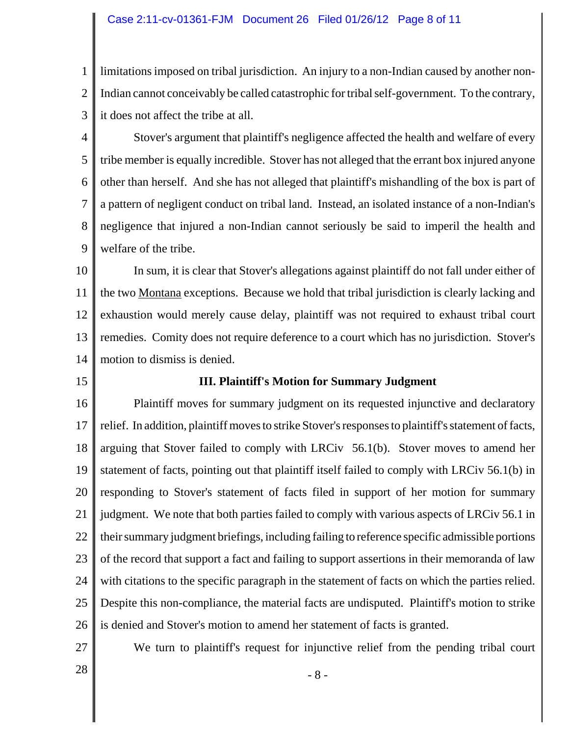### Case 2:11-cv-01361-FJM Document 26 Filed 01/26/12 Page 8 of 11

1 2 3 limitations imposed on tribal jurisdiction. An injury to a non-Indian caused by another non-Indian cannot conceivably be called catastrophic for tribal self-government. To the contrary, it does not affect the tribe at all.

4 5 6 7 8 9 Stover's argument that plaintiff's negligence affected the health and welfare of every tribe member is equally incredible. Stover has not alleged that the errant box injured anyone other than herself. And she has not alleged that plaintiff's mishandling of the box is part of a pattern of negligent conduct on tribal land. Instead, an isolated instance of a non-Indian's negligence that injured a non-Indian cannot seriously be said to imperil the health and welfare of the tribe.

10 11 12 13 14 In sum, it is clear that Stover's allegations against plaintiff do not fall under either of the two Montana exceptions. Because we hold that tribal jurisdiction is clearly lacking and exhaustion would merely cause delay, plaintiff was not required to exhaust tribal court remedies. Comity does not require deference to a court which has no jurisdiction. Stover's motion to dismiss is denied.

15

## **III. Plaintiff's Motion for Summary Judgment**

16 17 18 19 20 21 22 23 24 25 26 Plaintiff moves for summary judgment on its requested injunctive and declaratory relief. In addition, plaintiff moves to strike Stover's responses to plaintiff's statement of facts, arguing that Stover failed to comply with LRCiv 56.1(b). Stover moves to amend her statement of facts, pointing out that plaintiff itself failed to comply with LRCiv 56.1(b) in responding to Stover's statement of facts filed in support of her motion for summary judgment. We note that both parties failed to comply with various aspects of LRCiv 56.1 in their summary judgment briefings, including failing to reference specific admissible portions of the record that support a fact and failing to support assertions in their memoranda of law with citations to the specific paragraph in the statement of facts on which the parties relied. Despite this non-compliance, the material facts are undisputed. Plaintiff's motion to strike is denied and Stover's motion to amend her statement of facts is granted.

27

We turn to plaintiff's request for injunctive relief from the pending tribal court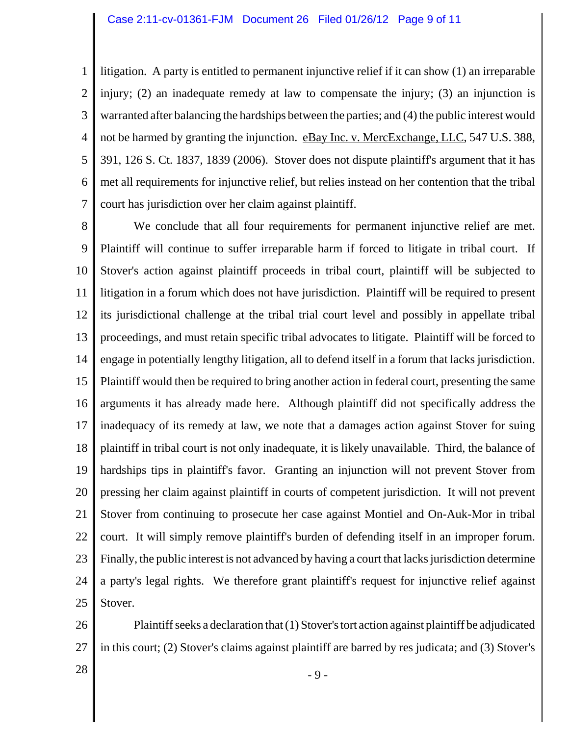1 2 3 4 5 6 7 litigation. A party is entitled to permanent injunctive relief if it can show (1) an irreparable injury; (2) an inadequate remedy at law to compensate the injury; (3) an injunction is warranted after balancing the hardships between the parties; and (4) the public interest would not be harmed by granting the injunction. eBay Inc. v. MercExchange, LLC, 547 U.S. 388, 391, 126 S. Ct. 1837, 1839 (2006). Stover does not dispute plaintiff's argument that it has met all requirements for injunctive relief, but relies instead on her contention that the tribal court has jurisdiction over her claim against plaintiff.

8 9 10 11 12 13 14 15 16 17 18 19 20 21 22 23 24 25 We conclude that all four requirements for permanent injunctive relief are met. Plaintiff will continue to suffer irreparable harm if forced to litigate in tribal court. If Stover's action against plaintiff proceeds in tribal court, plaintiff will be subjected to litigation in a forum which does not have jurisdiction. Plaintiff will be required to present its jurisdictional challenge at the tribal trial court level and possibly in appellate tribal proceedings, and must retain specific tribal advocates to litigate. Plaintiff will be forced to engage in potentially lengthy litigation, all to defend itself in a forum that lacks jurisdiction. Plaintiff would then be required to bring another action in federal court, presenting the same arguments it has already made here. Although plaintiff did not specifically address the inadequacy of its remedy at law, we note that a damages action against Stover for suing plaintiff in tribal court is not only inadequate, it is likely unavailable. Third, the balance of hardships tips in plaintiff's favor. Granting an injunction will not prevent Stover from pressing her claim against plaintiff in courts of competent jurisdiction. It will not prevent Stover from continuing to prosecute her case against Montiel and On-Auk-Mor in tribal court. It will simply remove plaintiff's burden of defending itself in an improper forum. Finally, the public interest is not advanced by having a court that lacks jurisdiction determine a party's legal rights. We therefore grant plaintiff's request for injunctive relief against Stover.

26 27 Plaintiff seeks a declaration that (1) Stover's tort action against plaintiff be adjudicated in this court; (2) Stover's claims against plaintiff are barred by res judicata; and (3) Stover's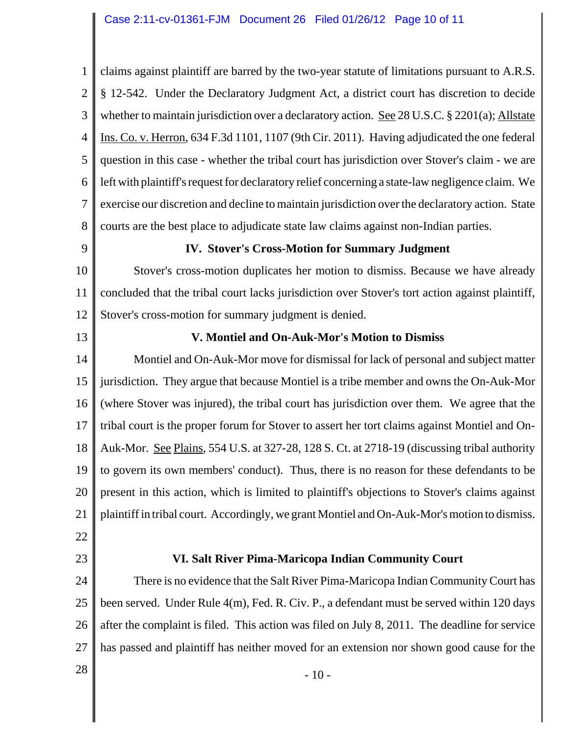1 2 3 4 5 6 7 8 claims against plaintiff are barred by the two-year statute of limitations pursuant to A.R.S. § 12-542. Under the Declaratory Judgment Act, a district court has discretion to decide whether to maintain jurisdiction over a declaratory action. See 28 U.S.C.  $\S 2201(a)$ ; Allstate Ins. Co. v. Herron, 634 F.3d 1101, 1107 (9th Cir. 2011). Having adjudicated the one federal question in this case - whether the tribal court has jurisdiction over Stover's claim - we are left with plaintiff's request for declaratory relief concerning a state-law negligence claim. We exercise our discretion and decline to maintain jurisdiction over the declaratory action. State courts are the best place to adjudicate state law claims against non-Indian parties.

9

# **IV. Stover's Cross-Motion for Summary Judgment**

10 11 12 Stover's cross-motion duplicates her motion to dismiss. Because we have already concluded that the tribal court lacks jurisdiction over Stover's tort action against plaintiff, Stover's cross-motion for summary judgment is denied.

13

# **V. Montiel and On-Auk-Mor's Motion to Dismiss**

14 15 16 17 18 19 20 21 Montiel and On-Auk-Mor move for dismissal for lack of personal and subject matter jurisdiction. They argue that because Montiel is a tribe member and owns the On-Auk-Mor (where Stover was injured), the tribal court has jurisdiction over them. We agree that the tribal court is the proper forum for Stover to assert her tort claims against Montiel and On-Auk-Mor. See Plains, 554 U.S. at 327-28, 128 S. Ct. at 2718-19 (discussing tribal authority to govern its own members' conduct). Thus, there is no reason for these defendants to be present in this action, which is limited to plaintiff's objections to Stover's claims against plaintiff in tribal court. Accordingly, we grant Montiel and On-Auk-Mor's motion to dismiss.

- 22
- 23

# **VI. Salt River Pima-Maricopa Indian Community Court**

24 25 26 27 There is no evidence that the Salt River Pima-Maricopa Indian Community Court has been served. Under Rule 4(m), Fed. R. Civ. P., a defendant must be served within 120 days after the complaint is filed. This action was filed on July 8, 2011. The deadline for service has passed and plaintiff has neither moved for an extension nor shown good cause for the